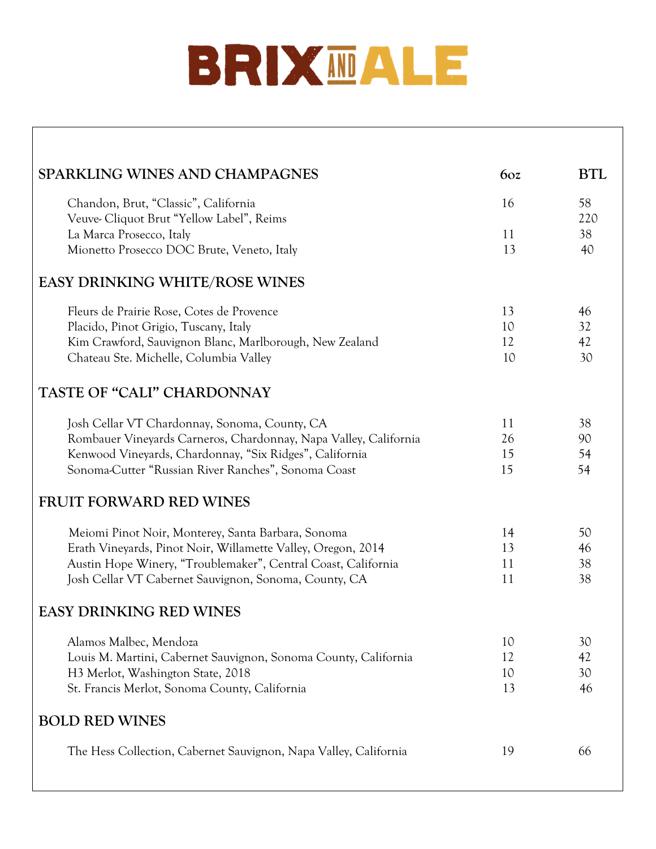# BRIXMALE

| <b>SPARKLING WINES AND CHAMPAGNES</b>                                            | 60z | <b>BTL</b> |
|----------------------------------------------------------------------------------|-----|------------|
| Chandon, Brut, "Classic", California<br>Veuve-Cliquot Brut "Yellow Label", Reims | 16  | 58<br>220  |
| La Marca Prosecco, Italy                                                         | 11  | 38         |
| Mionetto Prosecco DOC Brute, Veneto, Italy                                       | 13  | 40         |
| <b>EASY DRINKING WHITE/ROSE WINES</b>                                            |     |            |
| Fleurs de Prairie Rose, Cotes de Provence                                        | 13  | 46         |
| Placido, Pinot Grigio, Tuscany, Italy                                            | 10  | 32         |
| Kim Crawford, Sauvignon Blanc, Marlborough, New Zealand                          | 12  | 42         |
| Chateau Ste. Michelle, Columbia Valley                                           | 10  | 30         |
| TASTE OF "CALI" CHARDONNAY                                                       |     |            |
| Josh Cellar VT Chardonnay, Sonoma, County, CA                                    | 11  | 38         |
| Rombauer Vineyards Carneros, Chardonnay, Napa Valley, California                 | 26  | 90         |
| Kenwood Vineyards, Chardonnay, "Six Ridges", California                          | 15  | 54         |
| Sonoma-Cutter "Russian River Ranches", Sonoma Coast                              | 15  | 54         |
| <b>FRUIT FORWARD RED WINES</b>                                                   |     |            |
| Meiomi Pinot Noir, Monterey, Santa Barbara, Sonoma                               | 14  | 50         |
| Erath Vineyards, Pinot Noir, Willamette Valley, Oregon, 2014                     | 13  | 46         |
| Austin Hope Winery, "Troublemaker", Central Coast, California                    | 11  | 38         |
| Josh Cellar VT Cabernet Sauvignon, Sonoma, County, CA                            | 11  | 38         |
| <b>EASY DRINKING RED WINES</b>                                                   |     |            |
| Alamos Malbec, Mendoza                                                           | 10  | 30         |
| Louis M. Martini, Cabernet Sauvignon, Sonoma County, California                  | 12  | 42         |
| H <sub>3</sub> Merlot, Washington State, 2018                                    | 10  | 30         |
| St. Francis Merlot, Sonoma County, California                                    | 13  | 46         |
|                                                                                  |     |            |
| <b>BOLD RED WINES</b>                                                            |     |            |
| The Hess Collection, Cabernet Sauvignon, Napa Valley, California                 | 19  | 66         |
|                                                                                  |     |            |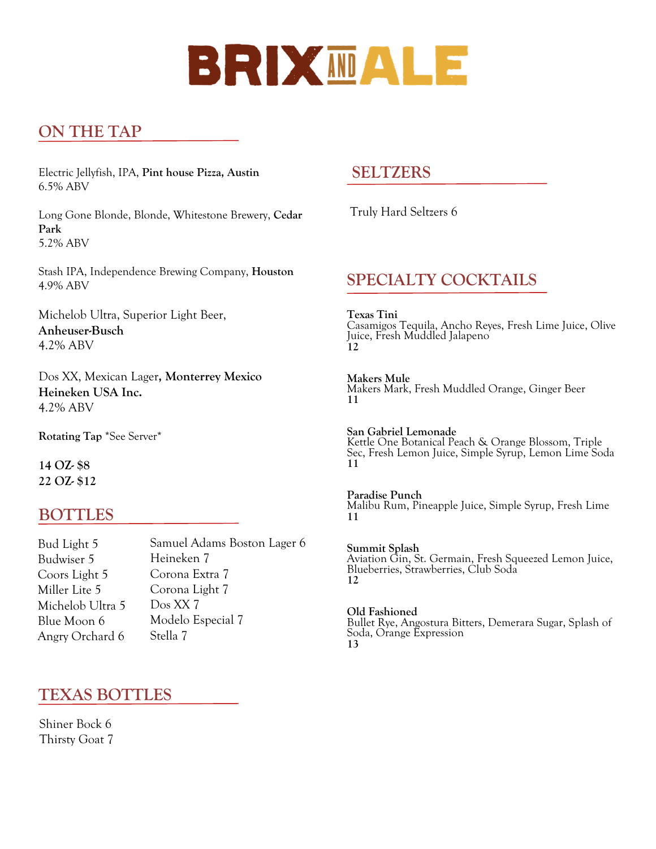## BRIXMALE

#### **ON THE TAP**

Electric Jellyfish, IPA, **Pint house Pizza, Austin** 6.5% ABV

Long Gone Blonde, Blonde, Whitestone Brewery, **Cedar Park** 5.2% ABV

Stash IPA, Independence Brewing Company, **Houston**  4.9% ABV

Michelob Ultra, Superior Light Beer, **Anheuser-Busch** 4.2% ABV

Dos XX, Mexican Lager**, Monterrey Mexico Heineken USA Inc.** 4.2% ABV

**Rotating Tap** \*See Server\*

**14 OZ- \$8 22 OZ- \$12**

#### **BOTTLES**

Bud Light 5 Budwiser 5 Coors Light 5 Miller Lite 5 Michelob Ultra 5 Blue Moon 6 Angry Orchard 6 Samuel Adams Boston Lager 6 Heineken 7 Corona Extra 7 Corona Light 7 Dos XX 7 Modelo Especial 7 Stella 7

#### **TEXAS BOTTLES**

Shiner Bock 6 Thirsty Goat 7

#### **SELTZERS**

Truly Hard Seltzers 6

#### **SPECIALTY COCKTAILS**

**Texas Tini** Casamigos Tequila, Ancho Reyes, Fresh Lime Juice, Olive Juice, Fresh Muddled Jalapeno **12**

**Makers Mule**  Makers Mark, Fresh Muddled Orange, Ginger Beer **11**

**San Gabriel Lemonade** Kettle One Botanical Peach & Orange Blossom, Triple Sec, Fresh Lemon Juice, Simple Syrup, Lemon Lime Soda **11**

**Paradise Punch**  Malibu Rum, Pineapple Juice, Simple Syrup, Fresh Lime **11**

**Summit Splash**  Aviation Gin, St. Germain, Fresh Squeezed Lemon Juice, Blueberries, Strawberries, Club Soda **12**

**Old Fashioned**  Bullet Rye, Angostura Bitters, Demerara Sugar, Splash of Soda, Orange Expression **13**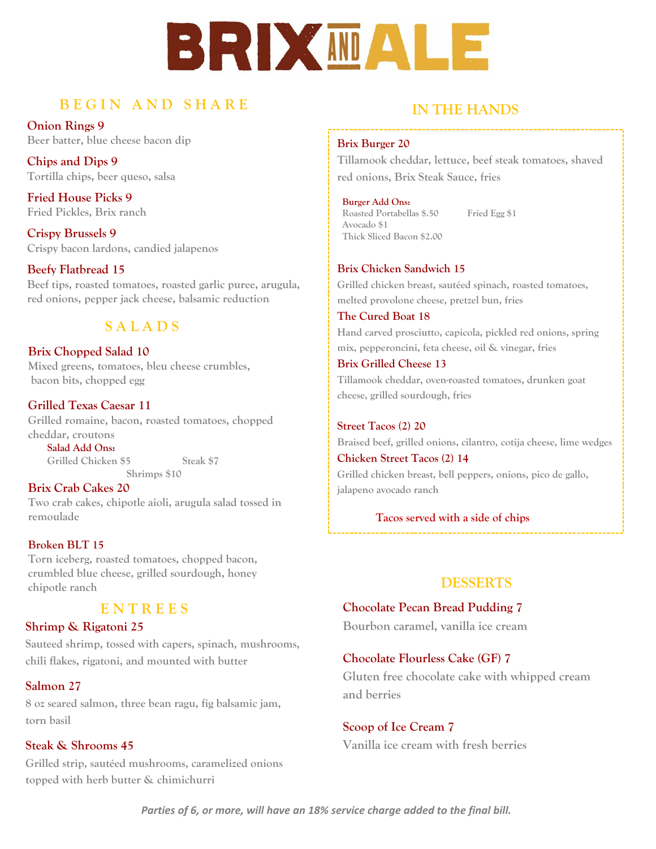# BRIX MDAL

#### **B E G I N A N D S H A R E**

**Onion Rings 9 Beer batter, blue cheese bacon dip**

**Chips and Dips 9 Tortilla chips, beer queso, salsa** 

**Fried House Picks 9 Fried Pickles, Brix ranch** 

**Crispy Brussels 9 Crispy bacon lardons, candied jalapenos** 

**Beefy Flatbread 15 Beef tips, roasted tomatoes, roasted garlic puree, arugula, red onions, pepper jack cheese, balsamic reduction** 

#### **S A L A D S**

**Brix Chopped Salad 10 Mixed greens, tomatoes, bleu cheese crumbles, bacon bits, chopped egg**

**Grilled Texas Caesar 11 Grilled romaine, bacon, roasted tomatoes, chopped cheddar, croutons** 

**Salad Add Ons: Grilled Chicken \$5 Steak \$7 Shrimps \$10**

**Brix Crab Cakes 20 Two crab cakes, chipotle aioli, arugula salad tossed in remoulade**

#### **Broken BLT 15**

**Torn iceberg, roasted tomatoes, chopped bacon, crumbled blue cheese, grilled sourdough, honey chipotle ranch**

#### **E N T R E E S**

#### **Shrimp & Rigatoni 25**

**Sauteed shrimp, tossed with capers, spinach, mushrooms, chili flakes, rigatoni, and mounted with butter**

#### **Salmon 27**

**8 oz seared salmon, three bean ragu, fig balsamic jam, torn basil**

#### **Steak & Shrooms 45**

**Grilled strip, sautéed mushrooms, caramelized onions topped with herb butter & chimichurri** 

#### **IN THE HANDS**

#### **Brix Burger 20**

**Tillamook cheddar, lettuce, beef steak tomatoes, shaved red onions, Brix Steak Sauce, fries** 

#### **Burger Add Ons:**

**Roasted Portabellas \$.50 Fried Egg \$1 Avocado \$1 Thick Sliced Bacon \$2.00** 

#### **Brix Chicken Sandwich 15**

**Grilled chicken breast, sautéed spinach, roasted tomatoes, melted provolone cheese, pretzel bun, fries**

**The Cured Boat 18 Hand carved prosciutto, capicola, pickled red onions, spring mix, pepperoncini, feta cheese, oil & vinegar, fries**

#### **Brix Grilled Cheese 13**

**Tillamook cheddar, oven-roasted tomatoes, drunken goat cheese, grilled sourdough, fries**

**Street Tacos (2) 20 Braised beef, grilled onions, cilantro, cotija cheese, lime wedges Chicken Street Tacos (2) 14**

**Grilled chicken breast, bell peppers, onions, pico de gallo, jalapeno avocado ranch**

**Tacos served with a side of chips**

#### **DESSERTS**

**Chocolate Pecan Bread Pudding 7 Bourbon caramel, vanilla ice cream** 

#### **Chocolate Flourless Cake (GF) 7**

**Gluten free chocolate cake with whipped cream and berries**

#### **Scoop of Ice Cream 7 Vanilla ice cream with fresh berries**

*Parties of 6, or more, will have an 18% service charge added to the final bill.*